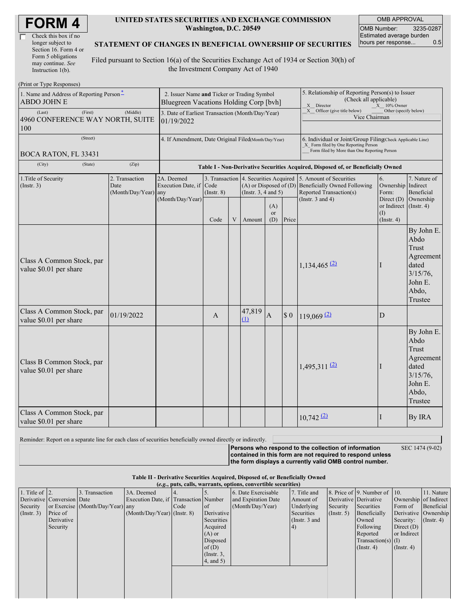| <b>FORM4</b> |
|--------------|
|--------------|

| Check this box if no  |
|-----------------------|
| longer subject to     |
| Section 16. Form 4 or |
| Form 5 obligations    |
| may continue. See     |
| Instruction 1(b).     |

 $(D_{\text{rint}} \text{ or } T_{\text{V}} \text{ as } D_{\text{c}}$ 

#### **UNITED STATES SECURITIES AND EXCHANGE COMMISSION Washington, D.C. 20549**

OMB APPROVAL OMB Number: 3235-0287 Estimated average burden hours per response... 0.5

### **STATEMENT OF CHANGES IN BENEFICIAL OWNERSHIP OF SECURITIES**

Filed pursuant to Section 16(a) of the Securities Exchange Act of 1934 or Section 30(h) of the Investment Company Act of 1940

| THIN OF TYPE INSPONSES!<br>1. Name and Address of Reporting Person-<br>ABDO JOHN E | 2. Issuer Name and Ticker or Trading Symbol<br>Bluegreen Vacations Holding Corp [bvh] |                                         |                                                                                  |   |                                                                   | 5. Relationship of Reporting Person(s) to Issuer<br>(Check all applicable)<br>X Director<br>$X = 10\%$ Owner                                       |                         |                                                                                                           |                                                      |                                                                                                 |  |
|------------------------------------------------------------------------------------|---------------------------------------------------------------------------------------|-----------------------------------------|----------------------------------------------------------------------------------|---|-------------------------------------------------------------------|----------------------------------------------------------------------------------------------------------------------------------------------------|-------------------------|-----------------------------------------------------------------------------------------------------------|------------------------------------------------------|-------------------------------------------------------------------------------------------------|--|
| (First)<br>(Last)<br>4960 CONFERENCE WAY NORTH, SUITE<br>100                       | 3. Date of Earliest Transaction (Month/Day/Year)<br>01/19/2022                        |                                         |                                                                                  |   |                                                                   | X Officer (give title below)<br>Other (specify below)<br>Vice Chairman                                                                             |                         |                                                                                                           |                                                      |                                                                                                 |  |
| (Street)<br><b>BOCA RATON, FL 33431</b>                                            | 4. If Amendment, Date Original Filed(Month/Day/Year)                                  |                                         |                                                                                  |   |                                                                   | 6. Individual or Joint/Group Filing Check Applicable Line)<br>X Form filed by One Reporting Person<br>Form filed by More than One Reporting Person |                         |                                                                                                           |                                                      |                                                                                                 |  |
| (City)<br>(State)                                                                  | (Zip)                                                                                 |                                         | Table I - Non-Derivative Securities Acquired, Disposed of, or Beneficially Owned |   |                                                                   |                                                                                                                                                    |                         |                                                                                                           |                                                      |                                                                                                 |  |
| 1. Title of Security<br>(Insert. 3)                                                | 2. Transaction<br>Date<br>(Month/Day/Year)                                            | 2A. Deemed<br>Execution Date, if<br>any | Code<br>$($ Instr. $8)$                                                          |   | 3. Transaction 4. Securities Acquired<br>(Instr. $3, 4$ and $5$ ) |                                                                                                                                                    |                         | 5. Amount of Securities<br>(A) or Disposed of (D) Beneficially Owned Following<br>Reported Transaction(s) | 6.<br>Ownership<br>Form:                             | 7. Nature of<br>Indirect<br>Beneficial                                                          |  |
|                                                                                    |                                                                                       | (Month/Day/Year)                        | Code                                                                             | V | Amount                                                            | (A)<br>or<br>(D)                                                                                                                                   | Price                   | (Instr. $3$ and $4$ )                                                                                     | Direct (D)<br>or Indirect<br>(I)<br>$($ Instr. 4 $)$ | Ownership<br>$($ Instr. 4 $)$                                                                   |  |
| Class A Common Stock, par<br>value \$0.01 per share                                |                                                                                       |                                         |                                                                                  |   |                                                                   |                                                                                                                                                    |                         | 1,134,465 $(2)$                                                                                           | T                                                    | By John E.<br>Abdo<br>Trust<br>Agreement<br>dated<br>$3/15/76$ ,<br>John E.<br>Abdo,<br>Trustee |  |
| Class A Common Stock, par<br>value \$0.01 per share                                | 01/19/2022                                                                            |                                         | A                                                                                |   | 47,819<br>$\Omega$                                                | $\mathbf{A}$                                                                                                                                       | $\$$ 0                  | $119,069$ <sup>(2)</sup>                                                                                  | D                                                    |                                                                                                 |  |
| Class B Common Stock, par<br>value \$0.01 per share                                |                                                                                       |                                         |                                                                                  |   |                                                                   |                                                                                                                                                    |                         | $1,495,311$ <sup>(2)</sup>                                                                                | н                                                    | By John E.<br>Abdo<br>Trust<br>Agreement<br>dated<br>$3/15/76$ ,<br>John E.<br>Abdo,<br>Trustee |  |
| Class A Common Stock, par<br>value \$0.01 per share                                |                                                                                       |                                         |                                                                                  |   |                                                                   |                                                                                                                                                    | $10,742$ <sup>(2)</sup> | I                                                                                                         | By IRA                                               |                                                                                                 |  |

Reminder: Report on a separate line for each class of securities beneficially owned directly or indirectly.

**Persons who respond to the collection of information contained in this form are not required to respond unless the form displays a currently valid OMB control number.** SEC 1474 (9-02)

### **Table II - Derivative Securities Acquired, Disposed of, or Beneficially Owned**

**(***e.g.***, puts, calls, warrants, options, convertible securities)**

|                        | (e.g., puts, cans, warrants, options, convertible securities) |                                  |                                       |      |                 |                     |                 |                  |                              |                  |                       |
|------------------------|---------------------------------------------------------------|----------------------------------|---------------------------------------|------|-----------------|---------------------|-----------------|------------------|------------------------------|------------------|-----------------------|
| 1. Title of $\vert$ 2. |                                                               | 3. Transaction                   | 3A. Deemed                            |      |                 | 6. Date Exercisable | 7. Title and    |                  | 8. Price of 9. Number of 10. |                  | 11. Nature            |
|                        | Derivative Conversion Date                                    |                                  | Execution Date, if Transaction Number |      |                 | and Expiration Date | Amount of       |                  | Derivative Derivative        |                  | Ownership of Indirect |
| Security               |                                                               | or Exercise (Month/Day/Year) any |                                       | Code | of              | (Month/Day/Year)    | Underlying      | Security         | Securities                   | Form of          | Beneficial            |
| $($ Instr. 3 $)$       | Price of                                                      |                                  | $(Month/Day/Year)$ (Instr. 8)         |      | Derivative      |                     | Securities      | $($ Instr. 5 $)$ | Beneficially                 |                  | Derivative Ownership  |
|                        | Derivative                                                    |                                  |                                       |      | Securities      |                     | (Instr. $3$ and |                  | Owned                        | Security:        | $($ Instr. 4)         |
|                        | Security                                                      |                                  |                                       |      | Acquired        |                     | $\vert 4)$      |                  | Following                    | Direct $(D)$     |                       |
|                        |                                                               |                                  |                                       |      | $(A)$ or        |                     |                 |                  | Reported                     | or Indirect      |                       |
|                        |                                                               |                                  |                                       |      | Disposed        |                     |                 |                  | $Transaction(s)$ (I)         |                  |                       |
|                        |                                                               |                                  |                                       |      | of $(D)$        |                     |                 |                  | $($ Instr. 4 $)$             | $($ Instr. 4 $)$ |                       |
|                        |                                                               |                                  |                                       |      | $($ Instr. $3,$ |                     |                 |                  |                              |                  |                       |
|                        |                                                               |                                  |                                       |      | $4$ , and $5$ ) |                     |                 |                  |                              |                  |                       |
|                        |                                                               |                                  |                                       |      |                 |                     |                 |                  |                              |                  |                       |
|                        |                                                               |                                  |                                       |      |                 |                     |                 |                  |                              |                  |                       |
|                        |                                                               |                                  |                                       |      |                 |                     |                 |                  |                              |                  |                       |
|                        |                                                               |                                  |                                       |      |                 |                     |                 |                  |                              |                  |                       |
|                        |                                                               |                                  |                                       |      |                 |                     |                 |                  |                              |                  |                       |